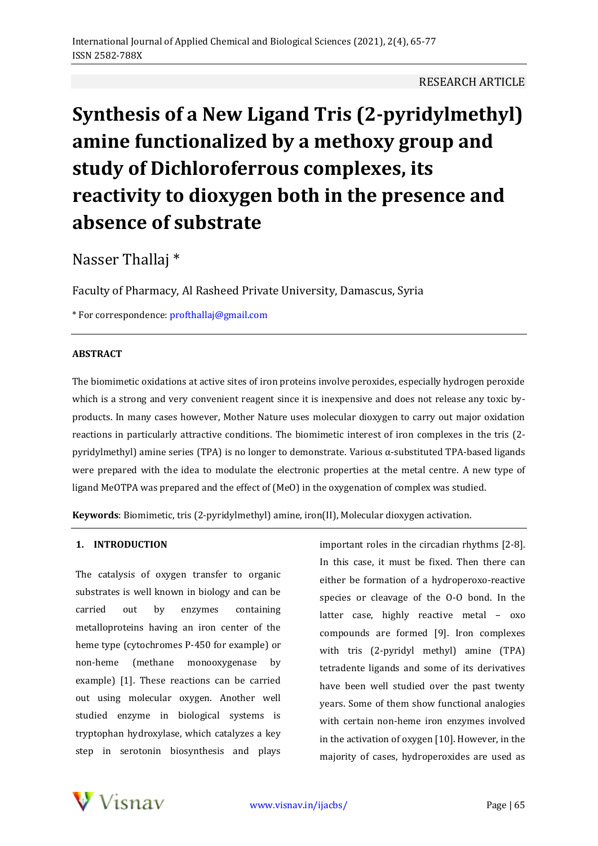# **Synthesis of a New Ligand Tris (2-pyridylmethyl) amine functionalized by a methoxy group and study of Dichloroferrous complexes, its reactivity to dioxygen both in the presence and absence of substrate**

Nasser Thallaj \*

Faculty of Pharmacy, Al Rasheed Private University, Damascus, Syria

\* For correspondence: [profthallaj@gmail.com](mailto:profthallaj@gmail.com)

# **ABSTRACT**

The biomimetic oxidations at active sites of iron proteins involve peroxides, especially hydrogen peroxide which is a strong and very convenient reagent since it is inexpensive and does not release any toxic byproducts. In many cases however, Mother Nature uses molecular dioxygen to carry out major oxidation reactions in particularly attractive conditions. The biomimetic interest of iron complexes in the tris (2 pyridylmethyl) amine series (TPA) is no longer to demonstrate. Various α-substituted TPA-based ligands were prepared with the idea to modulate the electronic properties at the metal centre. A new type of ligand MeOTPA was prepared and the effect of (MeO) in the oxygenation of complex was studied.

**Keywords**: Biomimetic, tris (2-pyridylmethyl) amine, iron(II), Molecular dioxygen activation.

# **1. INTRODUCTION**

The catalysis of oxygen transfer to organic substrates is well known in biology and can be carried out by enzymes containing metalloproteins having an iron center of the heme type (cytochromes P-450 for example) or non-heme (methane monooxygenase by example) [1]. These reactions can be carried out using molecular oxygen. Another well studied enzyme in biological systems is tryptophan hydroxylase, which catalyzes a key step in serotonin biosynthesis and plays

important roles in the circadian rhythms [2-8]. In this case, it must be fixed. Then there can either be formation of a hydroperoxo-reactive species or cleavage of the O-O bond. In the latter case, highly reactive metal – oxo compounds are formed [9]. Iron complexes with tris (2-pyridyl methyl) amine (TPA) tetradente ligands and some of its derivatives have been well studied over the past twenty years. Some of them show functional analogies with certain non-heme iron enzymes involved in the activation of oxygen [10]. However, in the majority of cases, hydroperoxides are used as

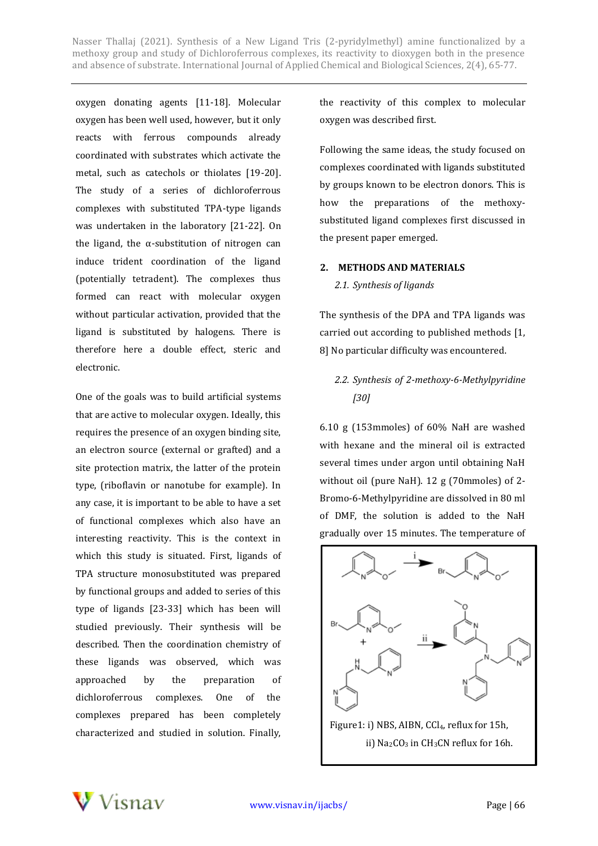oxygen donating agents [11-18]. Molecular oxygen has been well used, however, but it only reacts with ferrous compounds already coordinated with substrates which activate the metal, such as catechols or thiolates [19-20]. The study of a series of dichloroferrous complexes with substituted TPA-type ligands was undertaken in the laboratory [21-22]. On the ligand, the α-substitution of nitrogen can induce trident coordination of the ligand (potentially tetradent). The complexes thus formed can react with molecular oxygen without particular activation, provided that the ligand is substituted by halogens. There is therefore here a double effect, steric and electronic.

One of the goals was to build artificial systems that are active to molecular oxygen. Ideally, this requires the presence of an oxygen binding site, an electron source (external or grafted) and a site protection matrix, the latter of the protein type, (riboflavin or nanotube for example). In any case, it is important to be able to have a set of functional complexes which also have an interesting reactivity. This is the context in which this study is situated. First, ligands of TPA structure monosubstituted was prepared by functional groups and added to series of this type of ligands [23-33] which has been will studied previously. Their synthesis will be described. Then the coordination chemistry of these ligands was observed, which was approached by the preparation of dichloroferrous complexes. One of the complexes prepared has been completely characterized and studied in solution. Finally,

the reactivity of this complex to molecular oxygen was described first.

Following the same ideas, the study focused on complexes coordinated with ligands substituted by groups known to be electron donors. This is how the preparations of the methoxysubstituted ligand complexes first discussed in the present paper emerged.

#### **2. METHODS AND MATERIALS**

#### *2.1. Synthesis of ligands*

The synthesis of the DPA and TPA ligands was carried out according to published methods [1, 8] No particular difficulty was encountered.

# *2.2. Synthesis of 2-methoxy-6-Methylpyridine [30]*

6.10 g (153mmoles) of 60% NaH are washed with hexane and the mineral oil is extracted several times under argon until obtaining NaH without oil (pure NaH). 12 g (70mmoles) of 2- Bromo-6-Methylpyridine are dissolved in 80 ml of DMF, the solution is added to the NaH gradually over 15 minutes. The temperature of



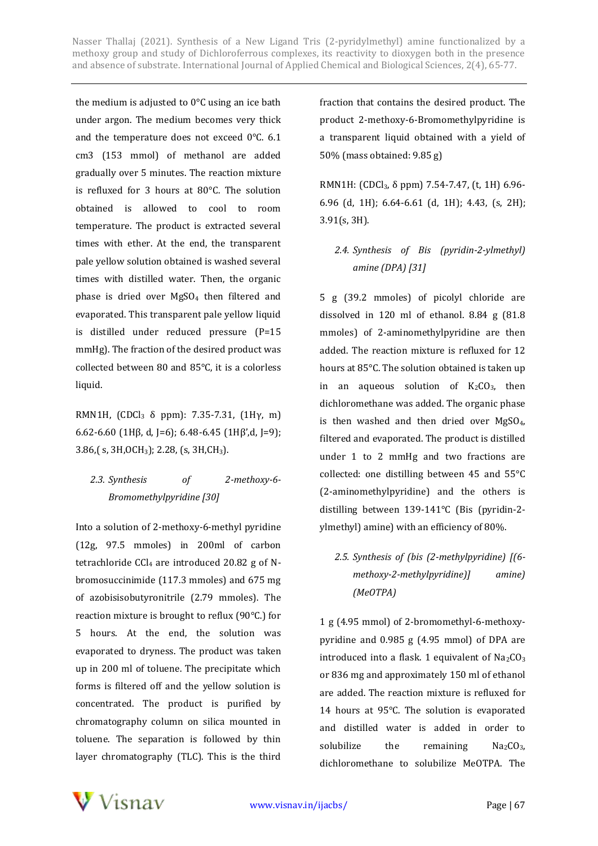the medium is adjusted to 0°C using an ice bath under argon. The medium becomes very thick and the temperature does not exceed 0°C. 6.1 cm3 (153 mmol) of methanol are added gradually over 5 minutes. The reaction mixture is refluxed for 3 hours at 80°C. The solution obtained is allowed to cool to room temperature. The product is extracted several times with ether. At the end, the transparent pale yellow solution obtained is washed several times with distilled water. Then, the organic phase is dried over MgSO<sup>4</sup> then filtered and evaporated. This transparent pale yellow liquid is distilled under reduced pressure (P=15 mmHg). The fraction of the desired product was collected between 80 and 85°C, it is a colorless liquid.

RMN1H,  $[CDCl<sub>3</sub> \delta$  ppm): 7.35-7.31,  $[1H<sub>V</sub>, m]$ 6.62-6.60 (1Hβ, d, J=6); 6.48-6.45 (1Hβ',d, J=9); 3.86,( s, 3H,OCH3); 2.28, (s, 3H,CH3).

# *2.3. Synthesis of 2-methoxy-6- Bromomethylpyridine [30]*

Into a solution of 2-methoxy-6-methyl pyridine (12g, 97.5 mmoles) in 200ml of carbon tetrachloride CCl<sub>4</sub> are introduced 20.82 g of Nbromosuccinimide (117.3 mmoles) and 675 mg of azobisisobutyronitrile (2.79 mmoles). The reaction mixture is brought to reflux (90°C.) for 5 hours. At the end, the solution was evaporated to dryness. The product was taken up in 200 ml of toluene. The precipitate which forms is filtered off and the yellow solution is concentrated. The product is purified by chromatography column on silica mounted in toluene. The separation is followed by thin layer chromatography (TLC). This is the third

fraction that contains the desired product. The product 2-methoxy-6-Bromomethylpyridine is a transparent liquid obtained with a yield of 50% (mass obtained: 9.85 g)

RMN1H: (CDCl3, δ ppm) 7.54-7.47, (t, 1H) 6.96- 6.96 (d, 1H); 6.64-6.61 (d, 1H); 4.43, (s, 2H); 3.91(s, 3H).

# *2.4. Synthesis of Bis (pyridin-2-ylmethyl) amine (DPA) [31]*

5 g (39.2 mmoles) of picolyl chloride are dissolved in 120 ml of ethanol. 8.84 g (81.8 mmoles) of 2-aminomethylpyridine are then added. The reaction mixture is refluxed for 12 hours at 85°C. The solution obtained is taken up in an aqueous solution of  $K_2CO_3$ , then dichloromethane was added. The organic phase is then washed and then dried over  $MgSO<sub>4</sub>$ , filtered and evaporated. The product is distilled under 1 to 2 mmHg and two fractions are collected: one distilling between 45 and 55°C (2-aminomethylpyridine) and the others is distilling between 139-141°C (Bis (pyridin-2 ylmethyl) amine) with an efficiency of 80%.

# *2.5. Synthesis of (bis (2-methylpyridine) [(6 methoxy-2-methylpyridine)] amine) (MeOTPA)*

1 g (4.95 mmol) of 2-bromomethyl-6-methoxypyridine and 0.985 g (4.95 mmol) of DPA are introduced into a flask. 1 equivalent of  $Na<sub>2</sub>CO<sub>3</sub>$ or 836 mg and approximately 150 ml of ethanol are added. The reaction mixture is refluxed for 14 hours at 95°C. The solution is evaporated and distilled water is added in order to solubilize the remaining  $Na_2CO_3$ , dichloromethane to solubilize MeOTPA. The

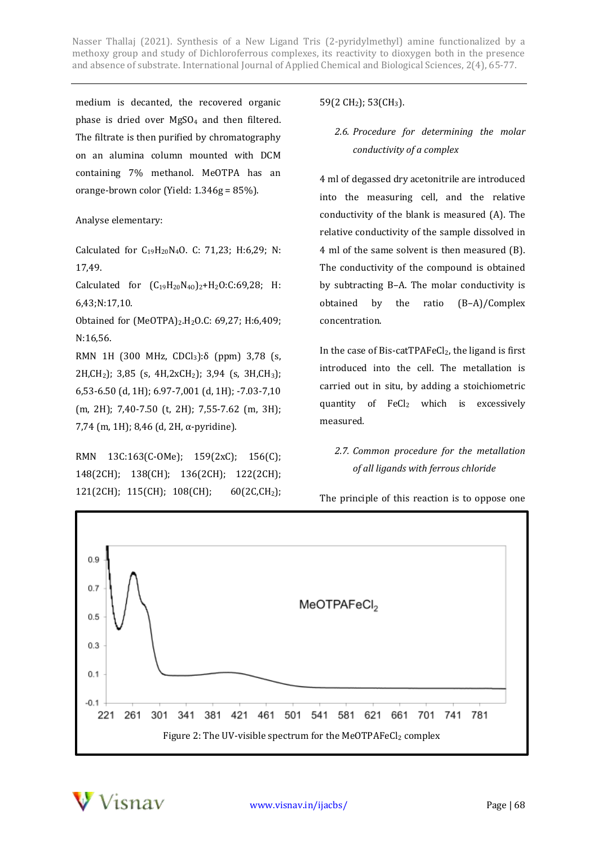medium is decanted, the recovered organic phase is dried over  $MgSO<sub>4</sub>$  and then filtered. The filtrate is then purified by chromatography on an alumina column mounted with DCM containing 7% methanol. MeOTPA has an orange-brown color (Yield: 1.346g = 85%).

#### Analyse elementary:

Calculated for  $C_{19}H_{20}N_4O$ . C: 71,23; H:6,29; N: 17,49.

Calculated for  $(C_{19}H_{20}N_{40})_2+H_2O:C:69,28;$  H: 6,43;N:17,10.

Obtained for (MeOTPA)2.H2O.C: 69,27; H:6,409; N:16,56.

RMN 1H (300 MHz, CDCl<sub>3</sub>):δ (ppm) 3,78 (s, 2H,CH2); 3,85 (s, 4H,2xCH2); 3,94 (s, 3H,CH3); 6,53-6.50 (d, 1H); 6.97-7,001 (d, 1H); -7.03-7,10 (m, 2H); 7,40-7.50 (t, 2H); 7,55-7.62 (m, 3H); 7,74 (m, 1H); 8,46 (d, 2H, α-pyridine).

RMN 13C:163(C-OMe); 159(2xC); 156(C); 148(2CH); 138(CH); 136(2CH); 122(2CH); 121(2CH); 115(CH); 108(CH); 60(2C,CH2);

# 59(2 CH<sub>2</sub>); 53(CH<sub>3</sub>).

*2.6. Procedure for determining the molar conductivity of a complex*

4 ml of degassed dry acetonitrile are introduced into the measuring cell, and the relative conductivity of the blank is measured (A). The relative conductivity of the sample dissolved in 4 ml of the same solvent is then measured (B). The conductivity of the compound is obtained by subtracting B–A. The molar conductivity is obtained by the ratio (B–A)/Complex concentration.

In the case of Bis-catTPAFeCl<sub>2</sub>, the ligand is first introduced into the cell. The metallation is carried out in situ, by adding a stoichiometric quantity of FeCl<sup>2</sup> which is excessively measured*.*

# *2.7. Common procedure for the metallation of all ligands with ferrous chloride*



The principle of this reaction is to oppose one

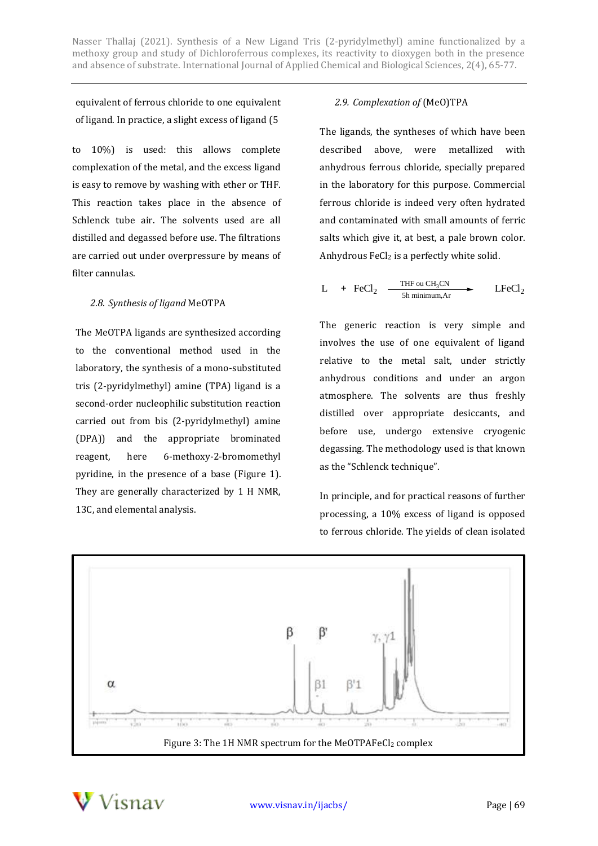equivalent of ferrous chloride to one equivalent of ligand. In practice, a slight excess of ligand (5

to 10%) is used: this allows complete complexation of the metal, and the excess ligand is easy to remove by washing with ether or THF. This reaction takes place in the absence of Schlenck tube air. The solvents used are all distilled and degassed before use. The filtrations are carried out under overpressure by means of filter cannulas.

# *2.8. Synthesis of ligand* MeOTPA

The MeOTPA ligands are synthesized according to the conventional method used in the laboratory, the synthesis of a mono-substituted tris (2-pyridylmethyl) amine (TPA) ligand is a second-order nucleophilic substitution reaction carried out from bis (2-pyridylmethyl) amine (DPA)) and the appropriate brominated reagent, here 6-methoxy-2-bromomethyl pyridine, in the presence of a base (Figure 1). They are generally characterized by 1 H NMR, 13C, and elemental analysis.

# *2.9. Complexation of* (MeO)TPA

The ligands, the syntheses of which have been described above, were metallized with anhydrous ferrous chloride, specially prepared in the laboratory for this purpose. Commercial ferrous chloride is indeed very often hydrated and contaminated with small amounts of ferric salts which give it, at best, a pale brown color. Anhydrous  $FeCl<sub>2</sub>$  is a perfectly white solid.

$$
L + FeCl2 \xrightarrow{\text{THF ou CH3CN}}
$$
 \t\t\t
$$
LFeCl2
$$

The generic reaction is very simple and involves the use of one equivalent of ligand relative to the metal salt, under strictly anhydrous conditions and under an argon atmosphere. The solvents are thus freshly distilled over appropriate desiccants, and before use, undergo extensive cryogenic degassing. The methodology used is that known as the "Schlenck technique".

In principle, and for practical reasons of further processing, a 10% excess of ligand is opposed to ferrous chloride. The yields of clean isolated



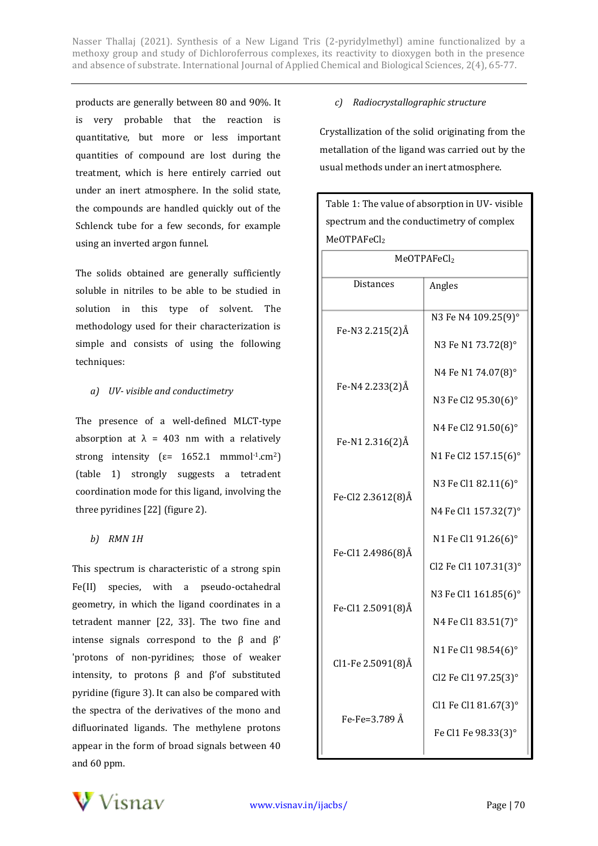products are generally between 80 and 90%. It is very probable that the reaction is quantitative, but more or less important quantities of compound are lost during the treatment, which is here entirely carried out under an inert atmosphere. In the solid state, the compounds are handled quickly out of the Schlenck tube for a few seconds, for example using an inverted argon funnel.

The solids obtained are generally sufficiently soluble in nitriles to be able to be studied in solution in this type of solvent. The methodology used for their characterization is simple and consists of using the following techniques:

#### *a) UV- visible and conductimetry*

The presence of a well-defined MLCT-type absorption at  $\lambda$  = 403 nm with a relatively strong intensity ( $\varepsilon$ = 1652.1 mmmol<sup>-1</sup>.cm<sup>2</sup>) (table 1) strongly suggests a tetradent coordination mode for this ligand, involving the three pyridines [22] (figure 2).

# *b) RMN 1H*

This spectrum is characteristic of a strong spin Fe(II) species, with a pseudo-octahedral geometry, in which the ligand coordinates in a tetradent manner [22, 33]. The two fine and intense signals correspond to the  $β$  and  $β'$ 'protons of non-pyridines; those of weaker intensity, to protons  $β$  and  $β'$ of substituted pyridine (figure 3). It can also be compared with the spectra of the derivatives of the mono and difluorinated ligands. The methylene protons appear in the form of broad signals between 40 and 60 ppm.

### *c) Radiocrystallographic structure*

Crystallization of the solid originating from the metallation of the ligand was carried out by the usual methods under an inert atmosphere.

Table 1: The value of absorption in UV- visible spectrum and the conductimetry of complex

| MeOTPAFeCl2       |                       |  |  |  |
|-------------------|-----------------------|--|--|--|
| MeOTPAFeCl2       |                       |  |  |  |
| Distances         | Angles                |  |  |  |
| Fe-N3 2.215(2)Å   | N3 Fe N4 109.25(9)°   |  |  |  |
|                   | N3 Fe N1 73.72(8)°    |  |  |  |
| Fe-N4 2.233(2)Å   | N4 Fe N1 74.07(8)°    |  |  |  |
|                   | N3 Fe Cl2 95.30(6)°   |  |  |  |
| Fe-N1 2.316(2)Å   | N4 Fe Cl2 91.50(6)°   |  |  |  |
|                   | N1 Fe Cl2 157.15(6)°  |  |  |  |
| Fe-Cl2 2.3612(8)Å | N3 Fe Cl1 82.11(6)°   |  |  |  |
|                   | N4 Fe Cl1 157.32(7)°  |  |  |  |
| Fe-Cl1 2.4986(8)Å | N1 Fe Cl1 91.26(6)°   |  |  |  |
|                   | Cl2 Fe Cl1 107.31(3)° |  |  |  |
| Fe-Cl1 2.5091(8)Å | N3 Fe Cl1 161.85(6)°  |  |  |  |
|                   | N4 Fe Cl1 83.51(7)°   |  |  |  |
| Cl1-Fe 2.5091(8)Å | N1 Fe Cl1 98.54(6)°   |  |  |  |
|                   | Cl2 Fe Cl1 97.25(3)°  |  |  |  |
| Fe-Fe=3.789 Å     | Cl1 Fe Cl1 81.67(3)°  |  |  |  |
|                   | Fe Cl1 Fe 98.33(3)°   |  |  |  |
|                   |                       |  |  |  |

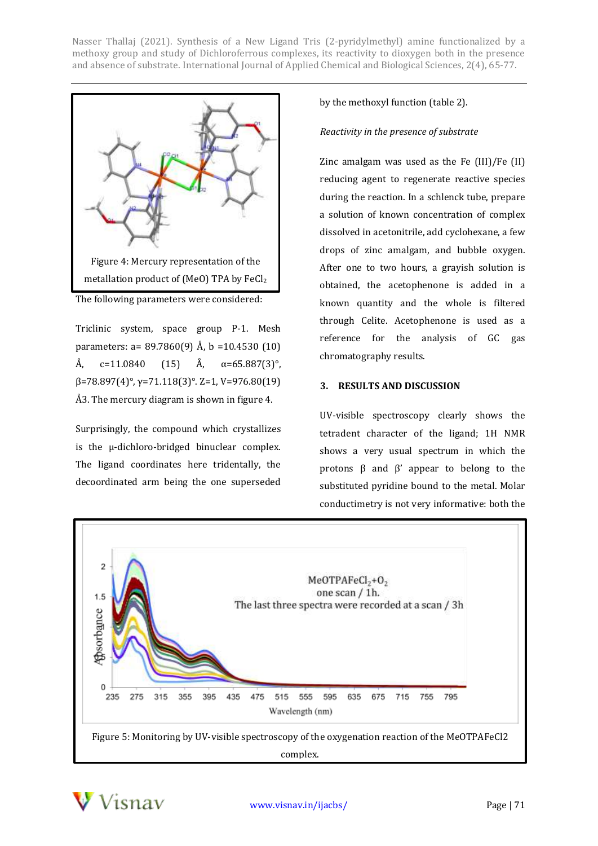

The following parameters were considered:

Triclinic system, space group P-1. Mesh parameters: a=  $89.7860(9)$  Å, b = 10.4530 (10) Å, c=11.0840 (15) Å, α=65.887(3)°, β=78.897(4)°, γ=71.118(3)°. Z=1, V=976.80(19) Å3. The mercury diagram is shown in figure 4.

Surprisingly, the compound which crystallizes is the µ-dichloro-bridged binuclear complex. The ligand coordinates here tridentally, the decoordinated arm being the one superseded

by the methoxyl function (table 2).

#### *Reactivity in the presence of substrate*

Zinc amalgam was used as the Fe (III)/Fe (II) reducing agent to regenerate reactive species during the reaction. In a schlenck tube, prepare a solution of known concentration of complex dissolved in acetonitrile, add cyclohexane, a few drops of zinc amalgam, and bubble oxygen. After one to two hours, a grayish solution is obtained, the acetophenone is added in a known quantity and the whole is filtered through Celite. Acetophenone is used as a reference for the analysis of GC gas chromatography results.

#### **3. RESULTS AND DISCUSSION**

UV-visible spectroscopy clearly shows the tetradent character of the ligand; 1H NMR shows a very usual spectrum in which the protons β and β' appear to belong to the substituted pyridine bound to the metal. Molar conductimetry is not very informative: both the



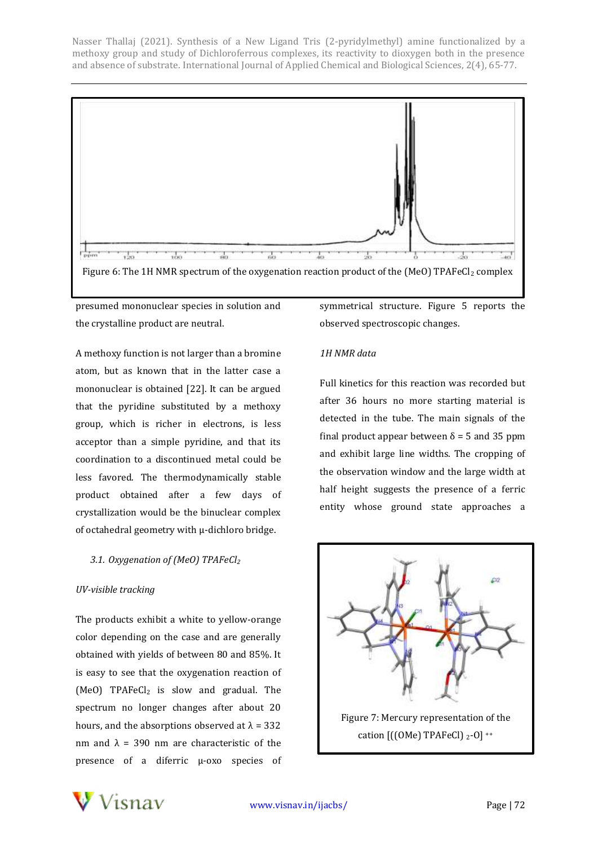

presumed mononuclear species in solution and the crystalline product are neutral.

A methoxy function is not larger than a bromine atom, but as known that in the latter case a mononuclear is obtained [22]. It can be argued that the pyridine substituted by a methoxy group, which is richer in electrons, is less acceptor than a simple pyridine, and that its coordination to a discontinued metal could be less favored. The thermodynamically stable product obtained after a few days of crystallization would be the binuclear complex of octahedral geometry with µ-dichloro bridge.

# *3.1. Oxygenation of (MeO) TPAFeCl<sup>2</sup>*

# *UV-visible tracking*

The products exhibit a white to yellow-orange color depending on the case and are generally obtained with yields of between 80 and 85%. It is easy to see that the oxygenation reaction of  $(MeO)$  TPAFe $Cl<sub>2</sub>$  is slow and gradual. The spectrum no longer changes after about 20 hours, and the absorptions observed at  $\lambda = 332$ nm and  $\lambda$  = 390 nm are characteristic of the presence of a diferric μ-oxo species of symmetrical structure. Figure 5 reports the observed spectroscopic changes.

# *1H NMR data*

Full kinetics for this reaction was recorded but after 36 hours no more starting material is detected in the tube. The main signals of the final product appear between  $\delta$  = 5 and 35 ppm and exhibit large line widths. The cropping of the observation window and the large width at half height suggests the presence of a ferric entity whose ground state approaches a



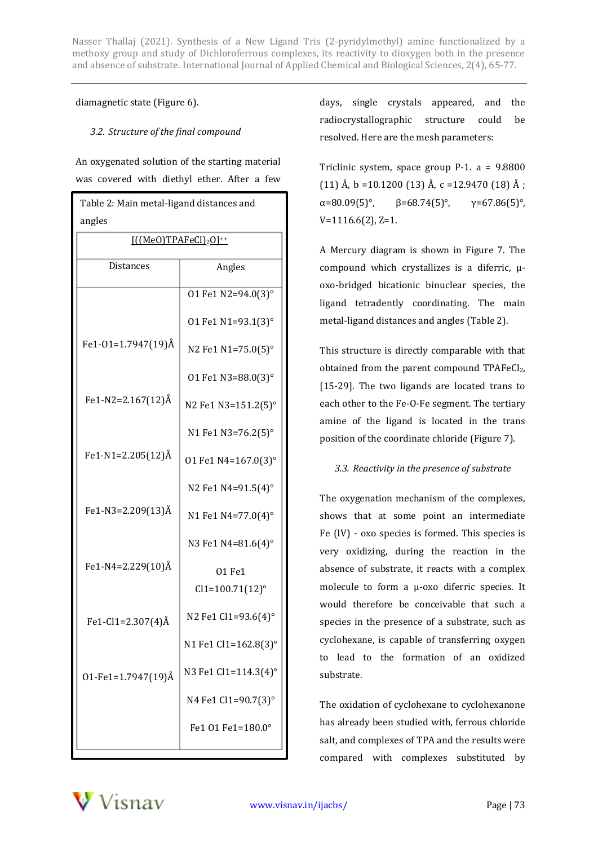### diamagnetic state (Figure 6).

# *3.2. Structure of the final compound*

An oxygenated solution of the starting material was covered with diethyl ether. After a few

| Table 2: Main metal-ligand distances and    |                      |  |  |  |
|---------------------------------------------|----------------------|--|--|--|
| angles                                      |                      |  |  |  |
| $[((MeO)TPAFeCl)2O]^{++}$                   |                      |  |  |  |
| <b>Distances</b>                            | Angles               |  |  |  |
|                                             | 01 Fe1 N2=94.0(3)°   |  |  |  |
|                                             | 01 Fe1 N1=93.1(3)°   |  |  |  |
| Fe1-01=1.7947(19)Å                          | N2 Fe1 N1=75.0(5)°   |  |  |  |
|                                             | 01 Fe1 N3=88.0(3)°   |  |  |  |
| Fe <sub>1</sub> -N <sub>2</sub> =2.167(12)Å | N2 Fe1 N3=151.2(5)°  |  |  |  |
|                                             | N1 Fe1 N3=76.2(5)°   |  |  |  |
| Fe1-N1=2.205(12)Å                           | 01 Fe1 N4=167.0(3)°  |  |  |  |
|                                             | N2 Fe1 N4=91.5(4)°   |  |  |  |
| Fe1-N3=2.209(13)Å                           | N1 Fe1 N4=77.0(4)°   |  |  |  |
|                                             | N3 Fe1 N4=81.6(4)°   |  |  |  |
| Fe1-N4=2.229(10)Å                           | 01 Fe1               |  |  |  |
|                                             | $Cl1 = 100.71(12)$ ° |  |  |  |
| Fe1-Cl1=2.307(4)Å                           | N2 Fe1 Cl1=93.6(4)°  |  |  |  |
|                                             | N1 Fe1 Cl1=162.8(3)  |  |  |  |
| 01-Fe1=1.7947(19) $\AA$                     | N3 Fe1 Cl1=114.3(4)° |  |  |  |
|                                             | N4 Fe1 Cl1=90.7(3)°  |  |  |  |
|                                             | Fe1 01 Fe1=180.0°    |  |  |  |

days, single crystals appeared, and the radiocrystallographic structure could be resolved. Here are the mesh parameters:

Triclinic system, space group P-1. a = 9.8800 (11) Å, b =10.1200 (13) Å, c =12.9470 (18) Å;  $\alpha = 80.09(5)$ °,  $\beta = 68.74(5)$ °,  $\gamma = 67.86(5)$ °, V=1116.6(2), Z=1.

A Mercury diagram is shown in Figure 7. The compound which crystallizes is a diferric, µoxo-bridged bicationic binuclear species, the ligand tetradently coordinating. The main metal-ligand distances and angles (Table 2).

This structure is directly comparable with that obtained from the parent compound  $TPAFeCl<sub>2</sub>$ , [15-29]. The two ligands are located trans to each other to the Fe-O-Fe segment. The tertiary amine of the ligand is located in the trans position of the coordinate chloride (Figure 7).

# *3.3. Reactivity in the presence of substrate*

The oxygenation mechanism of the complexes, shows that at some point an intermediate Fe (IV) - oxo species is formed. This species is very oxidizing, during the reaction in the absence of substrate, it reacts with a complex molecule to form a μ-oxo diferric species. It would therefore be conceivable that such a species in the presence of a substrate, such as cyclohexane, is capable of transferring oxygen to lead to the formation of an oxidized substrate.

The oxidation of cyclohexane to cyclohexanone has already been studied with, ferrous chloride salt, and complexes of TPA and the results were compared with complexes substituted by

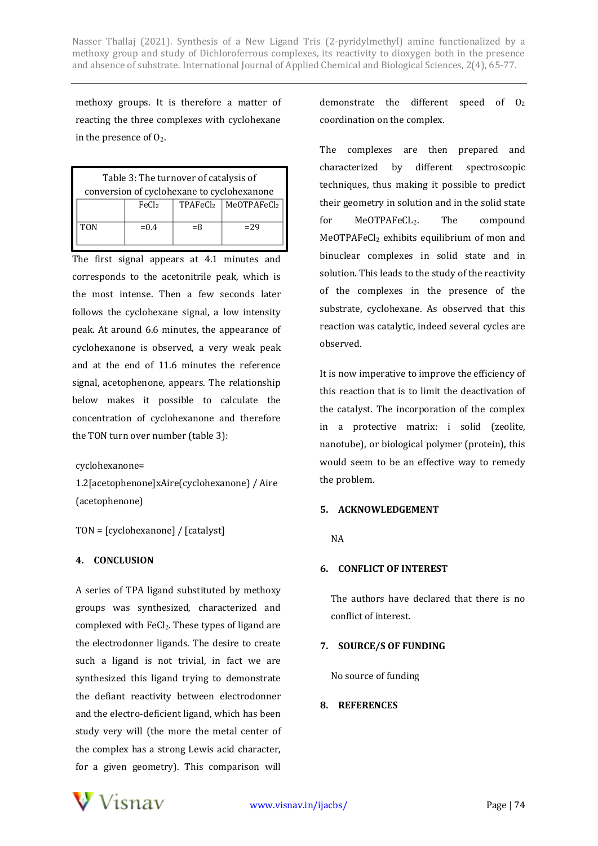methoxy groups. It is therefore a matter of reacting the three complexes with cyclohexane in the presence of  $O<sub>2</sub>$ .

| Table 3: The turnover of catalysis of      |                   |       |                                              |  |
|--------------------------------------------|-------------------|-------|----------------------------------------------|--|
| conversion of cyclohexane to cyclohexanone |                   |       |                                              |  |
|                                            | FeC <sub>l2</sub> |       | TPAFeCl <sub>2</sub> MeOTPAFeCl <sub>2</sub> |  |
| <b>TON</b>                                 | $= 0.4$           | $= 8$ | $=29$                                        |  |

The first signal appears at 4.1 minutes and corresponds to the acetonitrile peak, which is the most intense. Then a few seconds later follows the cyclohexane signal, a low intensity peak. At around 6.6 minutes, the appearance of cyclohexanone is observed, a very weak peak and at the end of 11.6 minutes the reference signal, acetophenone, appears. The relationship below makes it possible to calculate the concentration of cyclohexanone and therefore the TON turn over number (table 3):

# cyclohexanone=

1.2[acetophenone]xAire(cyclohexanone) / Aire (acetophenone)

TON = [cyclohexanone] / [catalyst]

# **4. CONCLUSION**

A series of TPA ligand substituted by methoxy groups was synthesized, characterized and complexed with FeCl<sub>2</sub>. These types of ligand are the electrodonner ligands. The desire to create such a ligand is not trivial, in fact we are synthesized this ligand trying to demonstrate the defiant reactivity between electrodonner and the electro-deficient ligand, which has been study very will (the more the metal center of the complex has a strong Lewis acid character, for a given geometry). This comparison will

demonstrate the different speed of  $O<sub>2</sub>$ coordination on the complex.

The complexes are then prepared and characterized by different spectroscopic techniques, thus making it possible to predict their geometry in solution and in the solid state for MeOTPAFeCL<sub>2</sub>. The compound MeOTPAFeCl<sub>2</sub> exhibits equilibrium of mon and binuclear complexes in solid state and in solution. This leads to the study of the reactivity of the complexes in the presence of the substrate, cyclohexane. As observed that this reaction was catalytic, indeed several cycles are observed.

It is now imperative to improve the efficiency of this reaction that is to limit the deactivation of the catalyst. The incorporation of the complex in a protective matrix: i solid (zeolite, nanotube), or biological polymer (protein), this would seem to be an effective way to remedy the problem.

# **5. ACKNOWLEDGEMENT**

NA

# **6. CONFLICT OF INTEREST**

The authors have declared that there is no conflict of interest.

# **7. SOURCE/S OF FUNDING**

No source of funding

# **8. REFERENCES**

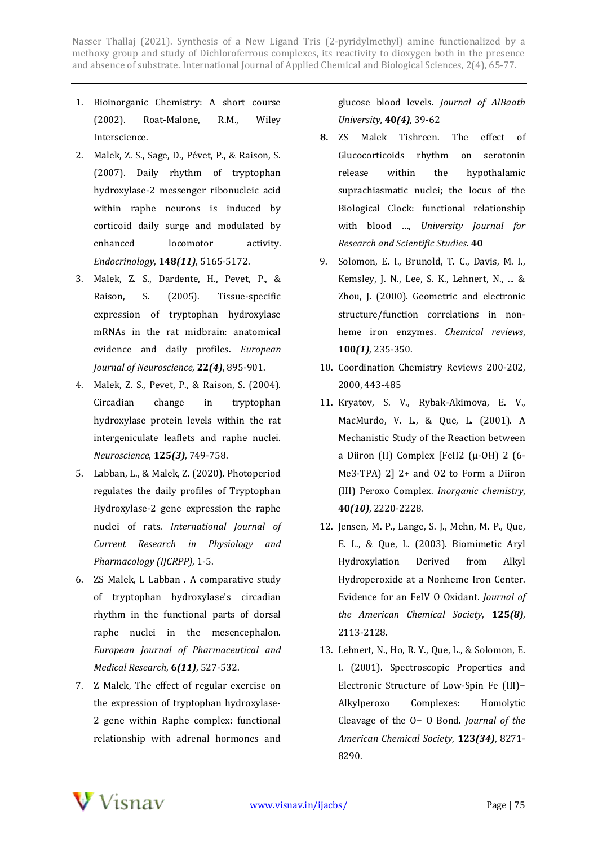- 1. Bioinorganic Chemistry: A short course (2002). Roat-Malone, R.M., Wiley Interscience.
- 2. Malek, Z. S., Sage, D., Pévet, P., & Raison, S. (2007). Daily rhythm of tryptophan hydroxylase-2 messenger ribonucleic acid within raphe neurons is induced by corticoid daily surge and modulated by enhanced locomotor activity. *Endocrinology*, **148***(11)*, 5165-5172.
- 3. Malek, Z. S., Dardente, H., Pevet, P., & Raison, S. (2005). Tissue-specific expression of tryptophan hydroxylase mRNAs in the rat midbrain: anatomical evidence and daily profiles. *European Journal of Neuroscience*, **22***(4)*, 895-901.
- 4. Malek, Z. S., Pevet, P., & Raison, S. (2004). Circadian change in tryptophan hydroxylase protein levels within the rat intergeniculate leaflets and raphe nuclei. *Neuroscience*, **125***(3)*, 749-758.
- 5. Labban, L., & Malek, Z. (2020). Photoperiod regulates the daily profiles of Tryptophan Hydroxylase-2 gene expression the raphe nuclei of rats. *International Journal of Current Research in Physiology and Pharmacology (IJCRPP)*, 1-5.
- 6. ZS Malek, L Labban . A comparative study of tryptophan hydroxylase's circadian rhythm in the functional parts of dorsal raphe nuclei in the mesencephalon. *European Journal of Pharmaceutical and Medical Research*, **6***(11)*, 527-532.
- 7. Z Malek, The effect of regular exercise on the expression of tryptophan hydroxylase-2 gene within Raphe complex: functional relationship with adrenal hormones and

glucose blood levels. *Journal of AlBaath University,* **40***(4)*, 39-62

- **8.** ZS Malek Tishreen. The effect of Glucocorticoids rhythm on serotonin release within the hypothalamic suprachiasmatic nuclei; the locus of the Biological Clock: functional relationship with blood …, *University Journal for Research and Scientific Studies*. **40**
- 9. Solomon, E. I., Brunold, T. C., Davis, M. I., Kemsley, J. N., Lee, S. K., Lehnert, N., ... & Zhou, J. (2000). Geometric and electronic structure/function correlations in nonheme iron enzymes. *Chemical reviews*, **100***(1)*, 235-350.
- 10. Coordination Chemistry Reviews 200-202, 2000, 443-485
- 11. Kryatov, S. V., Rybak-Akimova, E. V., MacMurdo, V. L., & Que, L. (2001). A Mechanistic Study of the Reaction between a Diiron (II) Complex [FeII2 (μ-OH) 2 (6- Me3-TPA) 2] 2+ and O2 to Form a Diiron (III) Peroxo Complex. *Inorganic chemistry*, **40***(10)*, 2220-2228.
- 12. Jensen, M. P., Lange, S. J., Mehn, M. P., Que, E. L., & Que, L. (2003). Biomimetic Aryl Hydroxylation Derived from Alkyl Hydroperoxide at a Nonheme Iron Center. Evidence for an FeIV O Oxidant. *Journal of the American Chemical Society*, **125***(8)*, 2113-2128.
- 13. Lehnert, N., Ho, R. Y., Que, L., & Solomon, E. I. (2001). Spectroscopic Properties and Electronic Structure of Low-Spin Fe (III)− Alkylperoxo Complexes: Homolytic Cleavage of the O− O Bond. *Journal of the American Chemical Society*, **123***(34)*, 8271- 8290.

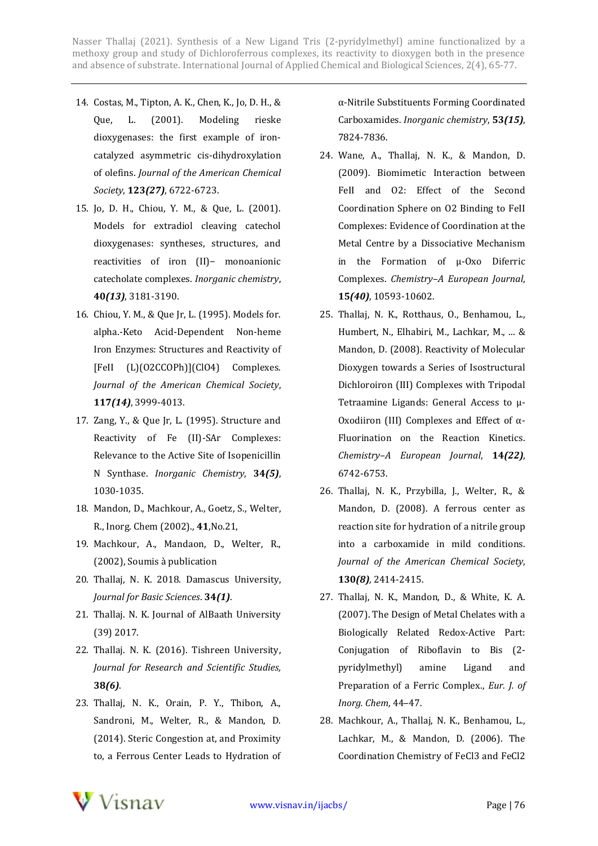- 14. Costas, M., Tipton, A. K., Chen, K., Jo, D. H., & Que, L. (2001). Modeling rieske dioxygenases: the first example of ironcatalyzed asymmetric cis-dihydroxylation of olefins. *Journal of the American Chemical Society*, **123***(27)*, 6722-6723.
- 15. Jo, D. H., Chiou, Y. M., & Que, L. (2001). Models for extradiol cleaving catechol dioxygenases: syntheses, structures, and reactivities of iron (II)− monoanionic catecholate complexes. *Inorganic chemistry*, **40***(13)*, 3181-3190.
- 16. Chiou, Y. M., & Que Jr, L. (1995). Models for. alpha.-Keto Acid-Dependent Non-heme Iron Enzymes: Structures and Reactivity of [FeII (L)(O2CCOPh)](ClO4) Complexes. *Journal of the American Chemical Society*, **117***(14)*, 3999-4013.
- 17. Zang, Y., & Que Jr, L. (1995). Structure and Reactivity of Fe (II)-SAr Complexes: Relevance to the Active Site of Isopenicillin N Synthase. *Inorganic Chemistry*, **34***(5)*, 1030-1035.
- 18. Mandon, D., Machkour, A., Goetz, S., Welter, R., Inorg. Chem (2002)., **41**,No.21,
- 19. Machkour, A., Mandaon, D., Welter, R., (2002), Soumis à publication
- 20. Thallaj, N. K. 2018. Damascus University, *Journal for Basic Sciences*. **34***(1)*.
- 21. Thallaj. N. K. Journal of AlBaath University (39) 2017.
- 22. Thallaj. N. K. (2016). Tishreen University, *Journal for Research and Scientific Studies,* **38***(6)*.
- 23. Thallaj, N. K., Orain, P. Y., Thibon, A., Sandroni, M., Welter, R., & Mandon, D. (2014). Steric Congestion at, and Proximity to, a Ferrous Center Leads to Hydration of

α-Nitrile Substituents Forming Coordinated Carboxamides. *Inorganic chemistry*, **53***(15)*, 7824-7836.

- 24. Wane, A., Thallaj, N. K., & Mandon, D. (2009). Biomimetic Interaction between FeII and O2: Effect of the Second Coordination Sphere on O2 Binding to FeII Complexes: Evidence of Coordination at the Metal Centre by a Dissociative Mechanism in the Formation of μ‐Oxo Diferric Complexes. *Chemistry–A European Journal*, **15***(40)*, 10593-10602.
- 25. Thallaj, N. K., Rotthaus, O., Benhamou, L., Humbert, N., Elhabiri, M., Lachkar, M., ... & Mandon, D. (2008). Reactivity of Molecular Dioxygen towards a Series of Isostructural Dichloroiron (III) Complexes with Tripodal Tetraamine Ligands: General Access to μ‐ Oxodiiron (III) Complexes and Effect of α‐ Fluorination on the Reaction Kinetics. *Chemistry–A European Journal*, **14***(22)*, 6742-6753.
- 26. Thallaj, N. K., Przybilla, J., Welter, R., & Mandon, D. (2008). A ferrous center as reaction site for hydration of a nitrile group into a carboxamide in mild conditions. *Journal of the American Chemical Society*, **130***(8),* 2414-2415.
- 27. Thallaj, N. K., Mandon, D., & White, K. A. (2007). The Design of Metal Chelates with a Biologically Related Redox-Active Part: Conjugation of Riboflavin to Bis (2pyridylmethyl) amine Ligand and Preparation of a Ferric Complex., *Eur. J. of Inorg. Chem*, 44–47.
- 28. Machkour, A., Thallaj, N. K., Benhamou, L., Lachkar, M., & Mandon, D. (2006). The Coordination Chemistry of FeCl3 and FeCl2